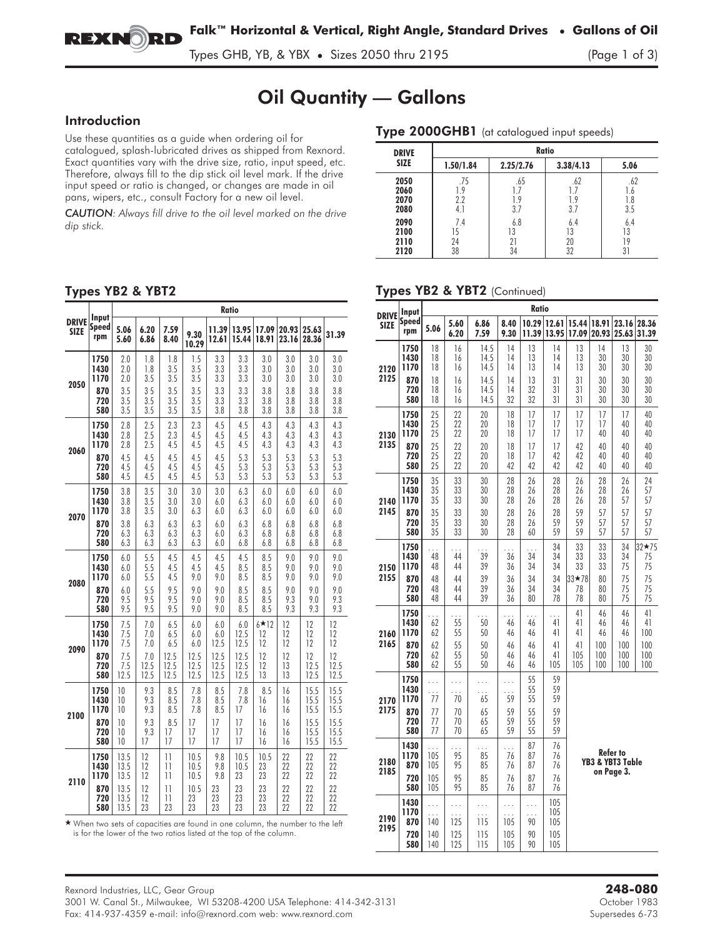

Types GHB, YB, & YBX • Sizes 2050 thru 2195 (Page 1 of 3)

# Oil Quantity — Gallons

## Introduction

Use these quantities as a guide when ordering oil for catalogued, splash-lubricated drives as shipped from Rexnord. Exact quantities vary with the drive size, ratio, input speed, etc. Therefore, always fill to the dip stick oil level mark. If the drive input speed or ratio is changed, or changes are made in oil pans, wipers, etc., consult Factory for a new oil level.

*CAUTION: Always fill drive to the oil level marked on the drive dip stick.*

| Type 2000GHB1 (at catalogued input speeds) |                          |                          |                       |                          |  |  |  |  |  |
|--------------------------------------------|--------------------------|--------------------------|-----------------------|--------------------------|--|--|--|--|--|
| <b>DRIVE</b>                               | Ratio                    |                          |                       |                          |  |  |  |  |  |
| <b>SIZE</b>                                | 1.50/1.84                | 2.25/2.76                | 3.38/4.13             | 5.06                     |  |  |  |  |  |
| 2050<br>2060<br>2070<br>2080               | .75<br>1.9<br>2.2<br>4.1 | .65<br>1.7<br>1.9<br>3.7 | .62<br>19<br>3.7      | .62<br>1.6<br>1.8<br>3.5 |  |  |  |  |  |
| 2090<br>2100<br>2110<br>2120               | 7.4<br>15<br>24<br>38    | 6.8<br>13<br>21<br>34    | 6.4<br>13<br>20<br>32 | 6.4<br>13<br>19<br>31    |  |  |  |  |  |

## Types YB2 & YBT2

|              | Input                |                   |                   |                   |                   |                   | Ratio             |                   |                   |                   |                   |
|--------------|----------------------|-------------------|-------------------|-------------------|-------------------|-------------------|-------------------|-------------------|-------------------|-------------------|-------------------|
| <b>DRIVE</b> | Speed                | 5.06              | 6.20              | 7.59              | 9.30              | 11.39             | 13.95             | 17.09             | 20.93             | 25.63             | 31.39             |
| <b>SIZE</b>  | rpm                  | 5.60              | 6.86              | 8.40              | 10.29             | 12.61             | 15.44             | 18.91             | 23.16             | 28.36             |                   |
| 2050         | 1750<br>1430<br>1170 | 2.0<br>2.0<br>2.0 | 1.8<br>1.8<br>3.5 | 1.8<br>3.5<br>3.5 | 1.5<br>3.5<br>3.5 | 3.3<br>3.3<br>3.3 | 3.3<br>3.3<br>3.3 | 3.0<br>3.0<br>3.0 | 3.0<br>3.0<br>3.0 | 3.0<br>3.0<br>3.0 | 3.0<br>3.0<br>3.0 |
|              | 870<br>720<br>580    | 3.5<br>3.5<br>3.5 | 35<br>3.5<br>3.5  | 3.5<br>3.5<br>3.5 | 3.5<br>3.5<br>3.5 | 3.3<br>3.3<br>3.8 | 3.3<br>3.3<br>3.8 | 3.8<br>3.8<br>3.8 | 3.8<br>3.8<br>3.8 | 3.8<br>3.8<br>3.8 | 3.8<br>3.8<br>3.8 |
|              | 1750                 | 2.8               | 2.5               | 2.3               | 2.3               | 4.5               | 4.5               | 4.3               | 4.3               | 4.3               | 4.3               |
|              | 1430                 | 2.8               | 2.5               | 2.3               | 4.5               | 4.5               | 4.5               | 4.3               | 4.3               | 4.3               | 4.3               |
|              | 1170                 | 2.8               | 2.5               | 4.5               | 4.5               | 4.5               | 4.5               | 4.3               | 4.3               | 4.3               | 4.3               |
| 2060         | 870                  | 4.5               | 4.5               | 4.5               | 4.5               | 4.5               | 5.3               | 5.3               | 5.3               | 5.3               | 5.3               |
|              | 720                  | 4.5               | 4.5               | 4.5               | 4.5               | 4.5               | 5.3               | 5.3               | 5.3               | 5.3               | 5.3               |
|              | 580                  | 4.5               | 4.5               | 4.5               | 4.5               | 5.3               | 5.3               | 5.3               | 5.3               | 5.3               | 5.3               |
|              | 1750                 | 3.8               | 3.5               | 3.0               | 3.0               | 3.0               | 6.3               | 6.0               | 6.0               | 6.0               | 6.0               |
|              | 1430                 | 3.8               | 3.5               | 3.0               | 3.0               | 6.0               | 6.3               | 6.0               | 6.0               | 6.0               | 60                |
|              | 1170                 | 3.8               | 3.5               | 3.0               | 6.3               | 6.0               | 6.3               | 6.0               | 6.0               | 6.0               | 6.0               |
| 2070         | 870                  | 3.8               | 6.3               | 6.3               | 6.3               | 6.0               | 6.3               | 6.8               | 6.8               | 6.8               | 6.8               |
|              | 720                  | 6.3               | 6.3               | 6.3               | 6.3               | 6.0               | 6.3               | 6.8               | 6.8               | 6.8               | 6.8               |
|              | 580                  | 6.3               | 6.3               | 6.3               | 6.3               | 6.0               | 6.8               | 6.8               | 6.8               | 6.8               | 6.8               |
| 2080         | 1750                 | 6.0               | 5.5               | 4.5               | 4.5               | 4.5               | 4.5               | 8.5               | 9.0               | 9.0               | 9.0               |
|              | 1430                 | 6.0               | 5.5               | 4.5               | 4.5               | 4.5               | 8.5               | 8.5               | 9.0               | 9.0               | 9.0               |
|              | 1170                 | 6.0               | 5.5               | 4.5               | 9.0               | 9.0               | 8.5               | 8.5               | 9.0               | 9.0               | 9.0               |
|              | 870                  | 6.0               | 5.5               | 9.5               | 9.0               | 9.0               | 8.5               | 8.5               | 9.0               | 9.0               | 9.0               |
|              | 720                  | 9.5               | 9.5               | 9.5               | 9.0               | 9.0               | 8.5               | 8.5               | 9.3               | 9.0               | 9.3               |
|              | 580                  | 9.5               | 9.5               | 9.5               | 9.0               | 9.0               | 8.5               | 8.5               | 9.3               | 9.3               | 9.3               |
| 2090         | 1750                 | 7.5               | 7.0               | 6.5               | 6.0               | 6.0               | 6.0               | $6*12$            | 12                | 12                | 12                |
|              | 1430                 | 7.5               | 7.0               | 6.5               | 6.0               | 6.0               | 12.5              | 12                | 12                | 12                | 12                |
|              | 1170                 | 7.5               | 7.0               | 6.5               | 6.0               | 12.5              | 12.5              | 12                | 12                | 12                | 12                |
|              | 870                  | 7.5               | 7.0               | 12.5              | 12.5              | 12.5              | 12.5              | 12                | 12                | 12                | 12                |
|              | 720                  | 7.5               | 12.5              | 12.5              | 12.5              | 12.5              | 12.5              | 12                | 13                | 12.5              | 12.5              |
|              | 580                  | 12.5              | 12.5              | 12.5              | 12.5              | 12.5              | 12.5              | 13                | 13                | 12.5              | 12.5              |
| 2100         | 1750                 | 10                | 9.3               | 8.5               | 7.8               | 8.5               | 7.8               | 8.5               | 16                | 15.5              | 15.5              |
|              | 1430                 | 10                | 9.3               | 8.5               | 7.8               | 8.5               | 7.8               | 16                | 16                | 15.5              | 15.5              |
|              | 1170                 | 10                | 9.3               | 8.5               | 7.8               | 8.5               | 17                | 16                | 16                | 15.5              | 15.5              |
|              | 870                  | 10                | 9.3               | 8.5               | 17                | 17                | 17                | 16                | 16                | 15.5              | 15.5              |
|              | 720                  | 10                | 9.3               | 17                | 17                | 17                | 17                | 16                | 16                | 15.5              | 15.5              |
|              | 580                  | 10                | 17                | 17                | 17                | 17                | 17                | 16                | 16                | 15.5              | 15.5              |
| 2110         | 1750                 | 13.5              | 12                | 11                | 10.5              | 9.8               | 10.5              | 10.5              | 22                | 22                | 22                |
|              | 1430                 | 13.5              | 12                | $\overline{11}$   | 10.5              | 9.8               | 10.5              | 23                | 22                | 22                | 22                |
|              | 1170                 | 13.5              | 12                | 11                | 10.5              | 9.8               | 23                | 23                | 22                | 22                | 22                |
|              | 870                  | 13.5              | 12                | 11                | 10.5              | 23                | 23                | 23                | 22                | 22                | 22                |
|              | 720                  | 13.5              | 12                | 11                | 23                | 23                | 23                | 23                | 22                | 22                | 22                |
|              | 580                  | 13.5              | 23                | 23                | 23                | 23                | 23                | 23                | 22                | 22                | 22                |

- When two sets of capacities are found in one column, the number to the left is for the lower of the two ratios listed at the top of the column.

#### Types YB2 & YBT2 (Continued)

| <b>DRIVE</b> | Input                                    | Ratio                          |                                 |                                                    |                                  |                                  |                                  |                                            |                |                |                   |
|--------------|------------------------------------------|--------------------------------|---------------------------------|----------------------------------------------------|----------------------------------|----------------------------------|----------------------------------|--------------------------------------------|----------------|----------------|-------------------|
| <b>SIZE</b>  | Speed<br>rpm                             | 5.06                           | 5.60<br>6.20                    | 6.86<br>7.59                                       | 8.40<br>9.30                     | 10.29<br>11.39                   | 12.61<br>13.95                   | 15.44<br>17.09                             | 18.91<br>20.93 | 23.16<br>25.63 | 28.36<br>31.39    |
| 2120         | 1750                                     | 18                             | 16                              | 14.5                                               | 14                               | 13                               | 14                               | 13                                         | 14             | 13             | 30                |
|              | 1430                                     | 18                             | 16                              | 14.5                                               | 14                               | 13                               | 14                               | 13                                         | 30             | 30             | 30                |
|              | 1170                                     | 18                             | 16                              | 14.5                                               | 14                               | 13                               | 14                               | 13                                         | 30             | 30             | 30                |
| 2125         | 870                                      | 18                             | 16                              | 14.5                                               | 14                               | 13                               | 31                               | 31                                         | 30             | 30             | 30                |
|              | 720                                      | 18                             | 16                              | 14.5                                               | 14                               | 32                               | 31                               | 31                                         | 30             | 30             | 30                |
|              | 580                                      | 18                             | 16                              | 14.5                                               | 32                               | 32                               | 31                               | 31                                         | 30             | 30             | 30                |
| 2130         | 1750                                     | 25                             | 22                              | 20                                                 | 18                               | 17                               | 17                               | 17                                         | 17             | 17             | 40                |
|              | 1430                                     | 25                             | 22                              | 20                                                 | 18                               | 17                               | 17                               | 17                                         | 17             | 40             | 40                |
|              | 1170                                     | 25                             | 22                              | 20                                                 | 18                               | 17                               | 17                               | 17                                         | 40             | 40             | 40                |
| 2135         | 870                                      | 25                             | 22                              | 20                                                 | 18                               | 17                               | 17                               | 42                                         | 40             | 40             | 40                |
|              | 720                                      | 25                             | 22                              | 20                                                 | 18                               | 17                               | 42                               | 42                                         | 40             | 40             | 40                |
|              | 580                                      | 25                             | 22                              | 20                                                 | 42                               | 42                               | 42                               | 42                                         | 40             | 40             | 40                |
| 2140         | 1750                                     | 35                             | 33                              | 30                                                 | 28                               | 26                               | 28                               | 26                                         | 28             | 26             | 24                |
|              | 1430                                     | 35                             | 33                              | 30                                                 | 28                               | 26                               | 28                               | 26                                         | 28             | 26             | 57                |
|              | 1170                                     | 35                             | 33                              | 30                                                 | 28                               | 26                               | 28                               | 26                                         | 28             | 57             | 57                |
| 2145         | 870                                      | 35                             | 33                              | 30                                                 | 28                               | 26                               | 28                               | 59                                         | 57             | 57             | 57                |
|              | 720                                      | 35                             | 33                              | 30                                                 | 28                               | 26                               | 59                               | 59                                         | 57             | 57             | 57                |
|              | 580                                      | 35                             | 33                              | 30                                                 | 28                               | 60                               | 59                               | 59                                         | 57             | 57             | 57                |
| 2150         | 1750<br>1430<br>1170                     | 48<br>48                       | .<br>44<br>44                   | $\frac{1}{39}$<br>39                               | 36<br>36                         | $\frac{1}{34}$<br>34             | 34<br>34<br>34                   | 33<br>33<br>33                             | 33<br>33<br>33 | 34<br>34<br>75 | 32★75<br>75<br>75 |
| 2155         | 870                                      | 48                             | 44                              | 39                                                 | 36                               | 34                               | 34                               | $33*78$                                    | 80             | 75             | 75                |
|              | 720                                      | 48                             | 44                              | 39                                                 | 36                               | 34                               | 34                               | 78                                         | 80             | 75             | 75                |
|              | 580                                      | 48                             | 44                              | 39                                                 | 36                               | 80                               | 78                               | 78                                         | 80             | 75             | 75                |
| 2160         | 1750<br>1430<br>1170                     | 62<br>62                       | $\frac{1}{55}$<br>55            | $\frac{1}{50}$<br>50                               | $\ddot{\phantom{0}}$<br>46<br>46 | .<br>46<br>46                    | .<br>41<br>41                    | 41<br>41<br>41                             | 46<br>46<br>46 | 46<br>46<br>46 | 41<br>41<br>100   |
| 2165         | 870                                      | 62                             | 55                              | 50                                                 | 46                               | 46                               | 41                               | 41                                         | 100            | 100            | 100               |
|              | 720                                      | 62                             | 55                              | 50                                                 | 46                               | 46                               | 41                               | 105                                        | 100            | 100            | 100               |
|              | 580                                      | 62                             | 55                              | 50                                                 | 46                               | 46                               | 105                              | 105                                        | 100            | 100            | 100               |
| 2170<br>2175 | 1750<br>1430<br>1170<br>870<br>720       | 77<br>77<br>77                 | .<br>$\frac{1}{70}$<br>70<br>70 | .<br>65<br>65<br>65                                | 59<br>59<br>59                   | 55<br>55<br>55<br>55<br>55       | 59<br>59<br>59<br>59<br>59       |                                            |                |                |                   |
| 2180<br>2185 | 580<br>1430<br>1170<br>870<br>720<br>580 | 77<br>105<br>105<br>105<br>105 | 70<br>95<br>95<br>95<br>95      | 65<br>$\ddot{\phantom{0}}$<br>85<br>85<br>85<br>85 | 59<br>76<br>76<br>76<br>76       | 55<br>87<br>87<br>87<br>87<br>87 | 59<br>76<br>76<br>76<br>76<br>76 | Refer to<br>YB3 & YBT3 Table<br>on Page 3. |                |                |                   |
| 2190<br>2195 | 1430<br>1170<br>870<br>720<br>580        | 140<br>140<br>140              | 125<br>125<br>125               | $\ddot{\phantom{a}}$<br>115<br>115<br>115          | 105<br>105<br>105                | .<br>90<br>90<br>90              | 105<br>105<br>105<br>105<br>105  |                                            |                |                |                   |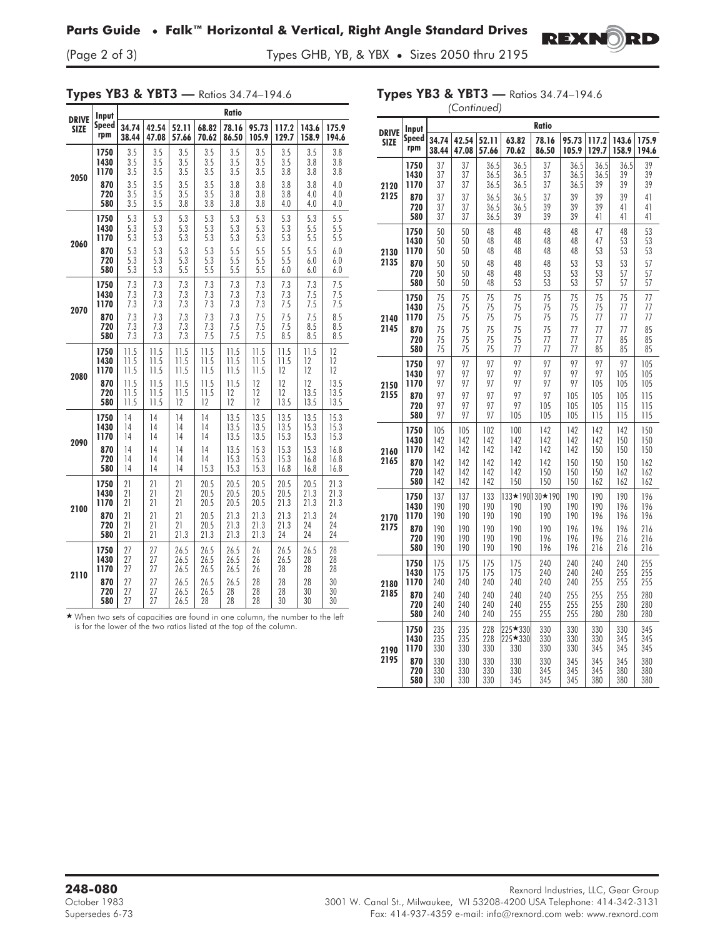## **Parts Guide • Falk™ Horizontal & Vertical, Right Angle Standard Drives**

(Page 2 of 3) Types GHB, YB, & YBX • Sizes 2050 thru 2195

## Types YB3 & YBT3 — Ratios 34.74–194.6

Types YB3 & YBT3 — Ratios 34.74–194.6 *(Continued)*

**REXNORD** 

| <b>DRIVE</b> | Input        |       |       |       |       | Ratio |       |       |       |       |
|--------------|--------------|-------|-------|-------|-------|-------|-------|-------|-------|-------|
| <b>SIZE</b>  | <b>Speed</b> | 34.74 | 42.54 | 52.11 | 68.82 | 78.16 | 95.73 | 117.2 | 143.6 | 175.9 |
|              | rpm          | 38.44 | 47.08 | 57.66 | 70.62 | 86.50 | 105.9 | 129.7 | 158.9 | 194.6 |
| 2050         | 1750         | 3.5   | 3.5   | 3.5   | 3.5   | 3.5   | 3.5   | 3.5   | 3.5   | 3.8   |
|              | 1430         | 3.5   | 3.5   | 3.5   | 3.5   | 3.5   | 3.5   | 3.5   | 3.8   | 3.8   |
|              | 1170         | 3.5   | 3.5   | 3.5   | 3.5   | 3.5   | 3.5   | 3.8   | 3.8   | 3.8   |
|              | 870          | 3.5   | 3.5   | 3.5   | 3.5   | 3.8   | 3.8   | 3.8   | 3.8   | 4.0   |
|              | 720          | 3.5   | 3.5   | 3.5   | 3.5   | 3.8   | 3.8   | 3.8   | 4.0   | 4.0   |
|              | 580          | 3.5   | 3.5   | 3.8   | 3.8   | 3.8   | 3.8   | 4.0   | 4.0   | 4.0   |
| 2060         | 1750         | 5.3   | 5.3   | 5.3   | 5.3   | 5.3   | 5.3   | 5.3   | 5.3   | 5.5   |
|              | 1430         | 5.3   | 5.3   | 5.3   | 5.3   | 5.3   | 5.3   | 5.3   | 5.5   | 5.5   |
|              | 1170         | 5.3   | 5.3   | 5.3   | 5.3   | 5.3   | 5.3   | 5.3   | 5.5   | 5.5   |
|              | 870          | 5.3   | 5.3   | 5.3   | 5.3   | 5.5   | 5.5   | 5.5   | 5.5   | 6.0   |
|              | 720          | 5.3   | 5.3   | 5.3   | 5.3   | 5.5   | 5.5   | 5.5   | 6.0   | 6.0   |
|              | 580          | 5.3   | 5.3   | 5.5   | 5.5   | 5.5   | 5.5   | 6.0   | 6.0   | 6.0   |
| 2070         | 1750         | 7.3   | 7.3   | 7.3   | 7.3   | 7.3   | 7.3   | 7.3   | 7.3   | 7.5   |
|              | 1430         | 7.3   | 7.3   | 7.3   | 7.3   | 7.3   | 7.3   | 7.3   | 7.5   | 7.5   |
|              | 1170         | 7.3   | 7.3   | 7.3   | 73    | 7.3   | 7.3   | 7.5   | 7.5   | 7.5   |
|              | 870          | 7.3   | 7.3   | 7.3   | 7.3   | 7.3   | 7.5   | 7.5   | 7.5   | 8.5   |
|              | 720          | 7.3   | 7.3   | 7.3   | 7.3   | 7.5   | 7.5   | 7.5   | 8.5   | 8.5   |
|              | 580          | 7.3   | 7.3   | 7.3   | 7.5   | 7.5   | 7.5   | 8.5   | 8.5   | 8.5   |
| 2080         | 1750         | 11.5  | 11.5  | 11.5  | 11.5  | 11.5  | 11.5  | 11.5  | 11.5  | 12    |
|              | 1430         | 11.5  | 11.5  | 11.5  | 11.5  | 11.5  | 11.5  | 11.5  | 12    | 12    |
|              | 1170         | 11.5  | 11.5  | 11.5  | 11.5  | 11.5  | 11.5  | 12    | 12    | 12    |
|              | 870          | 11.5  | 11.5  | 11.5  | 11.5  | 11.5  | 12    | 12    | 12    | 13.5  |
|              | 720          | 11.5  | 11.5  | 11.5  | 11.5  | 12    | 12    | 12    | 13.5  | 13.5  |
|              | 580          | 11.5  | 11.5  | 12    | 12    | 12    | 12    | 13.5  | 13.5  | 13.5  |
| 2090         | 1750         | 14    | 14    | 14    | 14    | 13.5  | 13.5  | 13.5  | 13.5  | 15.3  |
|              | 1430         | 14    | 14    | 14    | 14    | 13.5  | 13.5  | 13.5  | 15.3  | 15.3  |
|              | 1170         | 14    | 14    | 14    | 14    | 13.5  | 13.5  | 15.3  | 15.3  | 15.3  |
|              | 870          | 14    | 14    | 14    | 14    | 13.5  | 153   | 15.3  | 15.3  | 16.8  |
|              | 720          | 14    | 14    | 14    | 14    | 15.3  | 15.3  | 15.3  | 16.8  | 16.8  |
|              | 580          | 14    | 14    | 14    | 15.3  | 15.3  | 15.3  | 16.8  | 16.8  | 16.8  |
| 2100         | 1750         | 21    | 21    | 21    | 20.5  | 20.5  | 20.5  | 20.5  | 20.5  | 21.3  |
|              | 1430         | 21    | 21    | 21    | 20.5  | 20.5  | 20.5  | 20.5  | 21.3  | 21.3  |
|              | 1170         | 21    | 21    | 21    | 20.5  | 20.5  | 20.5  | 21.3  | 21.3  | 21.3  |
|              | 870          | 21    | 21    | 21    | 20.5  | 21.3  | 21.3  | 21.3  | 21.3  | 24    |
|              | 720          | 21    | 21    | 21    | 20.5  | 21.3  | 21.3  | 21.3  | 24    | 24    |
|              | 580          | 21    | 21    | 21.3  | 21.3  | 21.3  | 21.3  | 24    | 24    | 24    |
| 2110         | 1750         | 27    | 27    | 26.5  | 26.5  | 26.5  | 26    | 26.5  | 26.5  | 28    |
|              | 1430         | 27    | 27    | 26.5  | 26.5  | 26.5  | 26    | 26.5  | 28    | 28    |
|              | 1170         | 27    | 27    | 26.5  | 26.5  | 26.5  | 26    | 28    | 28    | 28    |
|              | 870          | 27    | 27    | 26.5  | 26.5  | 26.5  | 28    | 28    | 28    | 30    |
|              | 720          | 27    | 27    | 26.5  | 26.5  | 28    | 28    | 28    | 30    | 30    |
|              | 580          | 27    | 27    | 26.5  | 28    | 28    | 28    | 30    | 30    | 30    |

- When two sets of capacities are found in one column, the number to the left is for the lower of the two ratios listed at the top of the column.

|              | Input                |                   |                   |                   |            | Ratio                          |                   |                   |                   |                   |
|--------------|----------------------|-------------------|-------------------|-------------------|------------|--------------------------------|-------------------|-------------------|-------------------|-------------------|
| <b>DRIVE</b> | Speed                | 34.74             | 42.54             | 52.11             | 63.82      | 78.16                          | 95.73             | 117.2             | 143.6             | 175.9             |
| <b>SIZE</b>  | rpm                  | 38.44             | 47.08             | 57.66             | 70.62      | 86.50                          | 105.9             | 129.7             | 158.9             | 194.6             |
| 2120         | 1750                 | 37                | 37                | 36.5              | 36.5       | 37                             | 36.5              | 36.5              | 36.5              | 39                |
|              | 1430                 | 37                | 37                | 36.5              | 36.5       | 37                             | 36.5              | 36.5              | 39                | 39                |
|              | 1170                 | 37                | 37                | 36.5              | 36.5       | 37                             | 36.5              | 39                | 39                | 39                |
| 2125         | 870                  | 37                | 37                | 36.5              | 36.5       | 37                             | 39                | 39                | 39                | 41                |
|              | 720                  | 37                | 37                | 36.5              | 36.5       | 39                             | 39                | 39                | 41                | 41                |
|              | 580                  | 37                | 37                | 36.5              | 39         | 39                             | 39                | 41                | 41                | 41                |
| 2130         | 1750                 | 50                | 50                | 48                | 48         | 48                             | 48                | 47                | 48                | 53                |
|              | 1430                 | 50                | 50                | 48                | 48         | 48                             | 48                | 47                | 53                | 53                |
|              | 1170                 | 50                | 50                | 48                | 48         | 48                             | 48                | 53                | 53                | 53                |
| 2135         | 870                  | 50                | 50                | 48                | 48         | 48                             | 53                | 53                | 53                | 57                |
|              | 720                  | 50                | 50                | 48                | 48         | 53                             | 53                | 53                | 57                | 57                |
|              | 580                  | 50                | 50                | 48                | 53         | 53                             | 53                | 57                | 57                | 57                |
| 2140         | 1750                 | 75                | 75                | 75                | 75         | 75                             | 75                | 75                | 75                | 77                |
|              | 1430                 | 75                | 75                | 75                | 75         | 75                             | 75                | 75                | 77                | 77                |
|              | 1170                 | 75                | 75                | 75                | 75         | 75                             | 75                | 77                | 77                | 77                |
| 2145         | 870                  | 75                | 75                | 75                | 75         | 75                             | 77                | 77                | 77                | 85                |
|              | 720                  | 75                | 75                | 75                | 75         | 77                             | 77                | 77                | 85                | 85                |
|              | 580                  | 75                | 75                | 75                | 77         | 77                             | 77                | 85                | 85                | 85                |
| 2150         | 1750                 | 97                | 97                | 97                | 97         | 97                             | 97                | 97                | 97                | 105               |
|              | 1430                 | 97                | 97                | 97                | 97         | 97                             | 97                | 97                | 105               | 105               |
|              | 1170                 | 97                | 97                | 97                | 97         | 97                             | 97                | 105               | 105               | 105               |
| 2155         | 870                  | 97                | 97                | 97                | 97         | 97                             | 105               | 105               | 105               | 115               |
|              | 720                  | 97                | 97                | 97                | 97         | 105                            | 105               | 105               | 115               | 115               |
|              | 580                  | 97                | 97                | 97                | 105        | 105                            | 105               | 115               | 115               | 115               |
| 2160         | 1750                 | 105               | 105               | 102               | 100        | 142                            | 142               | 142               | 142               | 150               |
|              | 1430                 | 142               | 142               | 142               | 142        | 142                            | 142               | 142               | 150               | 150               |
|              | 1170                 | 142               | 142               | 142               | 142        | 142                            | 142               | 150               | 150               | 150               |
| 2165         | 870                  | 142               | 142               | 142               | 142        | 142                            | 150               | 150               | 150               | 162               |
|              | 720                  | 142               | 142               | 142               | 142        | 150                            | 150               | 150               | 162               | 162               |
|              | 580                  | 142               | 142               | 142               | 150        | 150                            | 150               | 162               | 162               | 162               |
| 2170         | 1750<br>1430<br>1170 | 137<br>190<br>190 | 137<br>190<br>190 | 133<br>190<br>190 | 190<br>190 | 133★190 130★190 <br>190<br>190 | 190<br>190<br>190 | 190<br>190<br>196 | 190<br>196<br>196 | 196<br>196<br>196 |
| 2175         | 870                  | 190               | 190               | 190               | 190        | 190                            | 196               | 196               | 196               | 216               |
|              | 720                  | 190               | 190               | 190               | 190        | 196                            | 196               | 196               | 216               | 216               |
|              | 580                  | 190               | 190               | 190               | 190        | 196                            | 196               | 216               | 216               | 216               |
| 2180         | 1750                 | 175               | 175               | 175               | 175        | 240                            | 240               | 240               | 240               | 255               |
|              | 1430                 | 175               | 175               | 175               | 175        | 240                            | 240               | 240               | 255               | $\frac{255}{255}$ |
|              | 1170                 | 240               | 240               | 240               | 240        | 240                            | 240               | 255               | 255               | 255               |
| 2185         | 870                  | 240               | 240               | 240               | 240        | 240                            | 255               | 255               | 255               | 280               |
|              | 720                  | 240               | 240               | 240               | 240        | 255                            | 255               | 255               | 280               | 280               |
|              | 580                  | 240               | 240               | 240               | 255        | 255                            | 255               | 280               | 280               | 280               |
| 2190         | 1750                 | 235               | 235               | 228               | 225★330    | 330                            | 330               | 330               | 330               | 345               |
|              | 1430                 | 235               | 235               | 228               | 225 * 330  | 330                            | 330               | 330               | 345               | 345               |
|              | 1170                 | 330               | 330               | 330               | 330        | 330                            | 330               | 345               | 345               | 345               |
| 2195         | 870                  | 330               | 330               | 330               | 330        | 330                            | 345               | 345               | 345               | 380               |
|              | 720                  | 330               | 330               | 330               | 330        | 345                            | 345               | 345               | 380               | 380               |
|              | 580                  | 330               | 330               | 330               | 345        | 345                            | 345               | 380               | 380               | 380               |

**248-080** Rexnord Industries, LLC, Gear Group October 1983 3001 W. Canal St., Milwaukee, WI 53208-4200 USA Telephone: 414-342-3131 Supersedes 6-73 Fax: 414-937-4359 e-mail: info@rexnord.com web: www.rexnord.com